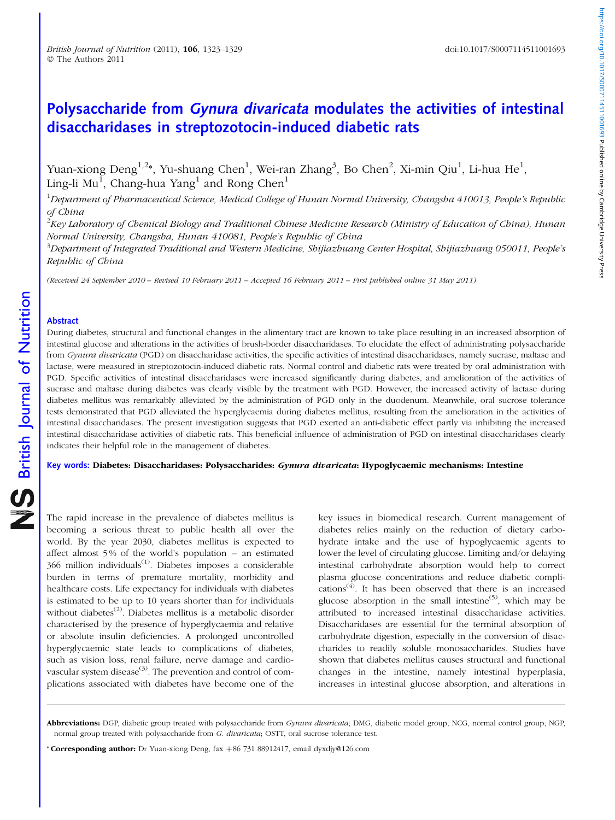# Polysaccharide from Gynura divaricata modulates the activities of intestinal disaccharidases in streptozotocin-induced diabetic rats

Yuan-xiong Deng $^{1,2*}$ , Yu-shuang Chen $^1$ , Wei-ran Zhang $^3$ , Bo Chen $^2$ , Xi-min Qiu $^1$ , Li-hua He $^1$ , Ling-li Mu<sup>1</sup>, Chang-hua Yang<sup>1</sup> and Rong Chen<sup>1</sup>

 $^{\rm 1}$ Department of Pharmaceutical Science, Medical College of Hunan Normal University, Changsha 410013, People's Republic of China

 $^2$ Key Laboratory of Chemical Biology and Traditional Chinese Medicine Research (Ministry of Education of China), Hunan Normal University, Changsha, Hunan 410081, People's Republic of China

<sup>3</sup>Department of Integrated Traditional and Western Medicine, Shijiazhuang Center Hospital, Shijiazhuang 050011, People's Republic of China

(Received 24 September 2010 – Revised 10 February 2011 – Accepted 16 February 2011 – First published online 31 May 2011)

## Abstract

NS British Journal of Nutrition British Journal of Nutrition

During diabetes, structural and functional changes in the alimentary tract are known to take place resulting in an increased absorption of intestinal glucose and alterations in the activities of brush-border disaccharidases. To elucidate the effect of administrating polysaccharide from Gynura divaricata (PGD) on disaccharidase activities, the specific activities of intestinal disaccharidases, namely sucrase, maltase and lactase, were measured in streptozotocin-induced diabetic rats. Normal control and diabetic rats were treated by oral administration with PGD. Specific activities of intestinal disaccharidases were increased significantly during diabetes, and amelioration of the activities of sucrase and maltase during diabetes was clearly visible by the treatment with PGD. However, the increased activity of lactase during diabetes mellitus was remarkably alleviated by the administration of PGD only in the duodenum. Meanwhile, oral sucrose tolerance tests demonstrated that PGD alleviated the hyperglycaemia during diabetes mellitus, resulting from the amelioration in the activities of intestinal disaccharidases. The present investigation suggests that PGD exerted an anti-diabetic effect partly via inhibiting the increased intestinal disaccharidase activities of diabetic rats. This beneficial influence of administration of PGD on intestinal disaccharidases clearly indicates their helpful role in the management of diabetes.

Key words: Diabetes: Disaccharidases: Polysaccharides: Gynura divaricata: Hypoglycaemic mechanisms: Intestine

The rapid increase in the prevalence of diabetes mellitus is becoming a serious threat to public health all over the world. By the year 2030, diabetes mellitus is expected to affect almost 5 % of the world's population – an estimated  $366$  million individuals<sup>(1)</sup>. Diabetes imposes a considerable burden in terms of premature mortality, morbidity and healthcare costs. Life expectancy for individuals with diabetes is estimated to be up to 10 years shorter than for individuals without diabetes<sup>(2)</sup>. Diabetes mellitus is a metabolic disorder characterised by the presence of hyperglycaemia and relative or absolute insulin deficiencies. A prolonged uncontrolled hyperglycaemic state leads to complications of diabetes, such as vision loss, renal failure, nerve damage and cardiovascular system disease<sup>(3)</sup>. The prevention and control of complications associated with diabetes have become one of the

key issues in biomedical research. Current management of diabetes relies mainly on the reduction of dietary carbohydrate intake and the use of hypoglycaemic agents to lower the level of circulating glucose. Limiting and/or delaying intestinal carbohydrate absorption would help to correct plasma glucose concentrations and reduce diabetic complications<sup> $(4)$ </sup>. It has been observed that there is an increased glucose absorption in the small intestine<sup>(5)</sup>, which may be attributed to increased intestinal disaccharidase activities. Disaccharidases are essential for the terminal absorption of carbohydrate digestion, especially in the conversion of disaccharides to readily soluble monosaccharides. Studies have shown that diabetes mellitus causes structural and functional changes in the intestine, namely intestinal hyperplasia, increases in intestinal glucose absorption, and alterations in

\* **Corresponding author:** Dr Yuan-xiong Deng, fax  $+86$  731 88912417, email dyxdjy@126.com

Abbreviations: DGP, diabetic group treated with polysaccharide from Gynura divaricata; DMG, diabetic model group; NCG, normal control group; NGP, normal group treated with polysaccharide from G. divaricata; OSTT, oral sucrose tolerance test.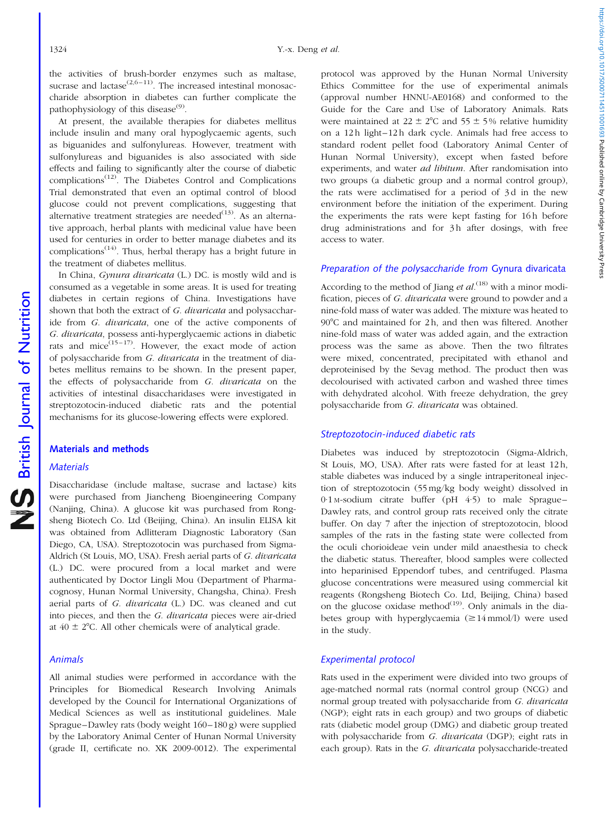the activities of brush-border enzymes such as maltase, sucrase and lactase<sup> $(2,6-11)$ </sup>. The increased intestinal monosaccharide absorption in diabetes can further complicate the pathophysiology of this disease $(9)$ .

At present, the available therapies for diabetes mellitus include insulin and many oral hypoglycaemic agents, such as biguanides and sulfonylureas. However, treatment with sulfonylureas and biguanides is also associated with side effects and failing to significantly alter the course of diabetic  $compications<sup>(12)</sup>$ . The Diabetes Control and Complications Trial demonstrated that even an optimal control of blood glucose could not prevent complications, suggesting that alternative treatment strategies are needed $(13)$ . As an alternative approach, herbal plants with medicinal value have been used for centuries in order to better manage diabetes and its complications<sup> $(14)$ </sup>. Thus, herbal therapy has a bright future in the treatment of diabetes mellitus.

In China, Gynura divaricata (L.) DC. is mostly wild and is consumed as a vegetable in some areas. It is used for treating diabetes in certain regions of China. Investigations have shown that both the extract of G. divaricata and polysaccharide from G. divaricata, one of the active components of G. divaricata, possess anti-hyperglycaemic actions in diabetic rats and mice $^{(15-17)}$ . However, the exact mode of action of polysaccharide from G. divaricata in the treatment of diabetes mellitus remains to be shown. In the present paper, the effects of polysaccharide from G. divaricata on the activities of intestinal disaccharidases were investigated in streptozotocin-induced diabetic rats and the potential mechanisms for its glucose-lowering effects were explored.

# Materials and methods

## **Materials**

Disaccharidase (include maltase, sucrase and lactase) kits were purchased from Jiancheng Bioengineering Company (Nanjing, China). A glucose kit was purchased from Rongsheng Biotech Co. Ltd (Beijing, China). An insulin ELISA kit was obtained from Adlitteram Diagnostic Laboratory (San Diego, CA, USA). Streptozotocin was purchased from Sigma-Aldrich (St Louis, MO, USA). Fresh aerial parts of G. divaricata (L.) DC. were procured from a local market and were authenticated by Doctor Lingli Mou (Department of Pharmacognosy, Hunan Normal University, Changsha, China). Fresh aerial parts of G. divaricata (L.) DC. was cleaned and cut into pieces, and then the G. divaricata pieces were air-dried at  $40 \pm 2^{\circ}$ C. All other chemicals were of analytical grade.

# Animals

All animal studies were performed in accordance with the Principles for Biomedical Research Involving Animals developed by the Council for International Organizations of Medical Sciences as well as institutional guidelines. Male Sprague–Dawley rats (body weight 160–180 g) were supplied by the Laboratory Animal Center of Hunan Normal University (grade II, certificate no. XK 2009-0012). The experimental

protocol was approved by the Hunan Normal University Ethics Committee for the use of experimental animals (approval number HNNU-AE0168) and conformed to the Guide for the Care and Use of Laboratory Animals. Rats were maintained at  $22 \pm 2^{\circ}C$  and  $55 \pm 5\%$  relative humidity on a 12 h light–12 h dark cycle. Animals had free access to standard rodent pellet food (Laboratory Animal Center of Hunan Normal University), except when fasted before experiments, and water *ad libitum*. After randomisation into two groups (a diabetic group and a normal control group), the rats were acclimatised for a period of 3d in the new environment before the initiation of the experiment. During the experiments the rats were kept fasting for 16 h before drug administrations and for 3h after dosings, with free access to water.

# Preparation of the polysaccharide from Gynura divaricata

According to the method of Jiang *et al*.<sup>(18)</sup> with a minor modification, pieces of G. divaricata were ground to powder and a nine-fold mass of water was added. The mixture was heated to 90°C and maintained for 2h, and then was filtered. Another nine-fold mass of water was added again, and the extraction process was the same as above. Then the two filtrates were mixed, concentrated, precipitated with ethanol and deproteinised by the Sevag method. The product then was decolourised with activated carbon and washed three times with dehydrated alcohol. With freeze dehydration, the grey polysaccharide from G. divaricata was obtained.

# Streptozotocin-induced diabetic rats

Diabetes was induced by streptozotocin (Sigma-Aldrich, St Louis, MO, USA). After rats were fasted for at least 12 h, stable diabetes was induced by a single intraperitoneal injection of streptozotocin (55 mg/kg body weight) dissolved in 0·1 M-sodium citrate buffer (pH 4·5) to male Sprague– Dawley rats, and control group rats received only the citrate buffer. On day 7 after the injection of streptozotocin, blood samples of the rats in the fasting state were collected from the oculi chorioideae vein under mild anaesthesia to check the diabetic status. Thereafter, blood samples were collected into heparinised Eppendorf tubes, and centrifuged. Plasma glucose concentrations were measured using commercial kit reagents (Rongsheng Biotech Co. Ltd, Beijing, China) based on the glucose oxidase method $(19)$ . Only animals in the diabetes group with hyperglycaemia  $(\geq 14 \text{ mmol/l})$  were used in the study.

# Experimental protocol

Rats used in the experiment were divided into two groups of age-matched normal rats (normal control group (NCG) and normal group treated with polysaccharide from G. divaricata (NGP); eight rats in each group) and two groups of diabetic rats (diabetic model group (DMG) and diabetic group treated with polysaccharide from G. divaricata (DGP); eight rats in each group). Rats in the G. divaricata polysaccharide-treated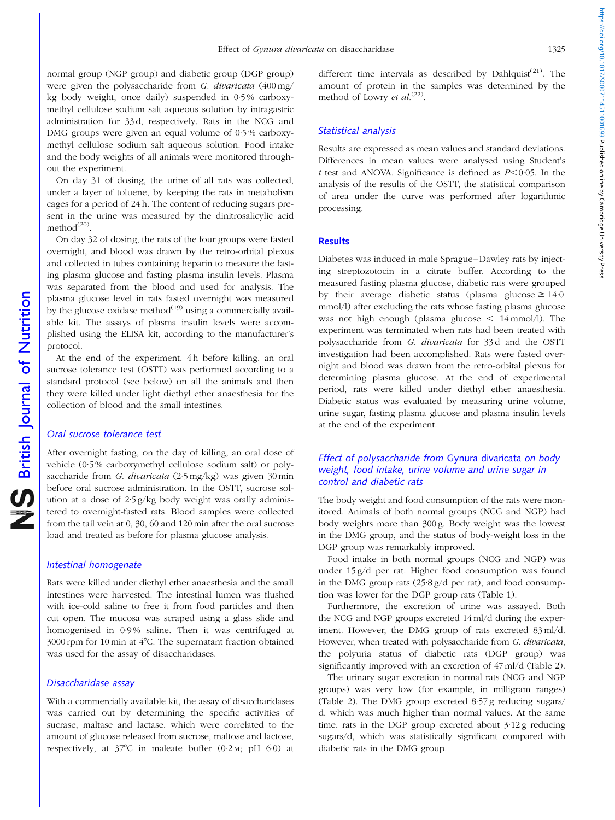normal group (NGP group) and diabetic group (DGP group) were given the polysaccharide from G. divaricata (400 mg/ kg body weight, once daily) suspended in 0·5 % carboxymethyl cellulose sodium salt aqueous solution by intragastric administration for 33 d, respectively. Rats in the NCG and DMG groups were given an equal volume of 0.5% carboxymethyl cellulose sodium salt aqueous solution. Food intake and the body weights of all animals were monitored throughout the experiment.

On day 31 of dosing, the urine of all rats was collected, under a layer of toluene, by keeping the rats in metabolism cages for a period of 24 h. The content of reducing sugars present in the urine was measured by the dinitrosalicylic acid method $^{(20)}$ 

On day 32 of dosing, the rats of the four groups were fasted overnight, and blood was drawn by the retro-orbital plexus and collected in tubes containing heparin to measure the fasting plasma glucose and fasting plasma insulin levels. Plasma was separated from the blood and used for analysis. The plasma glucose level in rats fasted overnight was measured by the glucose oxidase method<sup>(19)</sup> using a commercially available kit. The assays of plasma insulin levels were accomplished using the ELISA kit, according to the manufacturer's protocol.

At the end of the experiment, 4h before killing, an oral sucrose tolerance test (OSTT) was performed according to a standard protocol (see below) on all the animals and then they were killed under light diethyl ether anaesthesia for the collection of blood and the small intestines.

## Oral sucrose tolerance test

After overnight fasting, on the day of killing, an oral dose of vehicle (0·5 % carboxymethyl cellulose sodium salt) or polysaccharide from G. divaricata (2.5 mg/kg) was given 30 min before oral sucrose administration. In the OSTT, sucrose solution at a dose of 2·5 g/kg body weight was orally administered to overnight-fasted rats. Blood samples were collected from the tail vein at 0, 30, 60 and 120 min after the oral sucrose load and treated as before for plasma glucose analysis.

## Intestinal homogenate

Rats were killed under diethyl ether anaesthesia and the small intestines were harvested. The intestinal lumen was flushed with ice-cold saline to free it from food particles and then cut open. The mucosa was scraped using a glass slide and homogenised in 0.9% saline. Then it was centrifuged at  $3000$  rpm for 10 min at  $4^{\circ}$ C. The supernatant fraction obtained was used for the assay of disaccharidases.

#### Disaccharidase assay

With a commercially available kit, the assay of disaccharidases was carried out by determining the specific activities of sucrase, maltase and lactase, which were correlated to the amount of glucose released from sucrose, maltose and lactose, respectively, at  $37^{\circ}$ C in maleate buffer (0.2 M; pH 6.0) at

different time intervals as described by Dahlquist<sup>(21)</sup>. The amount of protein in the samples was determined by the method of Lowry et  $al.$ <sup>(22)</sup>.

#### Statistical analysis

Results are expressed as mean values and standard deviations. Differences in mean values were analysed using Student's t test and ANOVA. Significance is defined as  $P \leq 0.05$ . In the analysis of the results of the OSTT, the statistical comparison of area under the curve was performed after logarithmic processing.

#### **Results**

Diabetes was induced in male Sprague–Dawley rats by injecting streptozotocin in a citrate buffer. According to the measured fasting plasma glucose, diabetic rats were grouped by their average diabetic status (plasma glucose  $\geq 14.0$ mmol/l) after excluding the rats whose fasting plasma glucose was not high enough (plasma glucose  $\leq$  14 mmol/l). The experiment was terminated when rats had been treated with polysaccharide from G. divaricata for 33 d and the OSTT investigation had been accomplished. Rats were fasted overnight and blood was drawn from the retro-orbital plexus for determining plasma glucose. At the end of experimental period, rats were killed under diethyl ether anaesthesia. Diabetic status was evaluated by measuring urine volume, urine sugar, fasting plasma glucose and plasma insulin levels at the end of the experiment.

# Effect of polysaccharide from Gynura divaricata on body weight, food intake, urine volume and urine sugar in control and diabetic rats

The body weight and food consumption of the rats were monitored. Animals of both normal groups (NCG and NGP) had body weights more than 300 g. Body weight was the lowest in the DMG group, and the status of body-weight loss in the DGP group was remarkably improved.

Food intake in both normal groups (NCG and NGP) was under 15 g/d per rat. Higher food consumption was found in the DMG group rats  $(25.8 \text{ g/d} \text{ per rat})$ , and food consumption was lower for the DGP group rats [\(Table 1\)](#page-3-0).

Furthermore, the excretion of urine was assayed. Both the NCG and NGP groups excreted 14 ml/d during the experiment. However, the DMG group of rats excreted 83 ml/d. However, when treated with polysaccharide from G. divaricata, the polyuria status of diabetic rats (DGP group) was significantly improved with an excretion of 47 ml/d [\(Table 2\)](#page-3-0).

The urinary sugar excretion in normal rats (NCG and NGP groups) was very low (for example, in milligram ranges) ([Table 2](#page-3-0)). The DMG group excreted 8·57 g reducing sugars/ d, which was much higher than normal values. At the same time, rats in the DGP group excreted about 3·12 g reducing sugars/d, which was statistically significant compared with diabetic rats in the DMG group.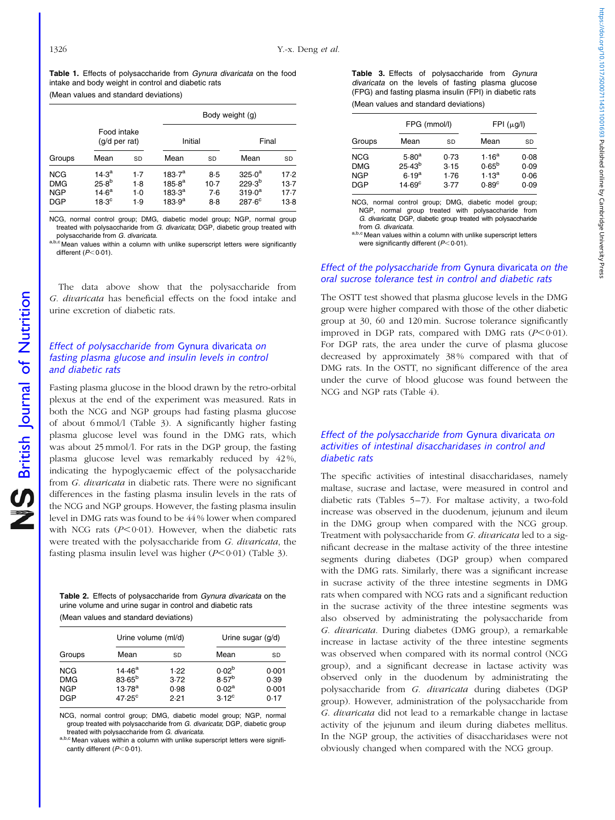<span id="page-3-0"></span>(Mean values and standard deviations)

|                                                      |                                                          |                              | Body weight (g)                                                     |                             |                                                                   |                                    |  |  |  |
|------------------------------------------------------|----------------------------------------------------------|------------------------------|---------------------------------------------------------------------|-----------------------------|-------------------------------------------------------------------|------------------------------------|--|--|--|
|                                                      | Food intake<br>$(q/d)$ per rat)                          |                              | Initial                                                             |                             | Final                                                             |                                    |  |  |  |
| Groups                                               | Mean                                                     | SD                           | Mean                                                                | SD                          | Mean                                                              | SD                                 |  |  |  |
| <b>NCG</b><br><b>DMG</b><br><b>NGP</b><br><b>DGP</b> | $14.3^a$<br>$25.8^{b}$<br>$14.6^{\rm a}$<br>$18.3^\circ$ | $1-7$<br>1.8<br>$1-0$<br>1.9 | $183.7^a$<br>$185.8^{a}$<br>$183.3^{a}$<br>183 $\cdot$ 9 $^{\rm a}$ | 8.5<br>$10-7$<br>7.6<br>8.8 | $325.0^a$<br>$229.3^{b}$<br>319.0 <sup>a</sup><br>$287.6^{\circ}$ | 17.2<br>$13-7$<br>$17-7$<br>$13-8$ |  |  |  |

NCG, normal control group; DMG, diabetic model group; NGP, normal group treated with polysaccharide from G. divaricata; DGP, diabetic group treated with polysaccharide from G. divaricata.

polysaccharide from G. divaricata. a,b,c Mean values within a column with unlike superscript letters were significantly different  $(P<0.01)$ .

The data above show that the polysaccharide from G. divaricata has beneficial effects on the food intake and urine excretion of diabetic rats.

# Effect of polysaccharide from Gynura divaricata on fasting plasma glucose and insulin levels in control and diabetic rats

Fasting plasma glucose in the blood drawn by the retro-orbital plexus at the end of the experiment was measured. Rats in both the NCG and NGP groups had fasting plasma glucose of about 6 mmol/l (Table 3). A significantly higher fasting plasma glucose level was found in the DMG rats, which was about 25 mmol/l. For rats in the DGP group, the fasting plasma glucose level was remarkably reduced by 42 %, indicating the hypoglycaemic effect of the polysaccharide from G. divaricata in diabetic rats. There were no significant differences in the fasting plasma insulin levels in the rats of the NCG and NGP groups. However, the fasting plasma insulin level in DMG rats was found to be 44 % lower when compared with NCG rats  $(P<0.01)$ . However, when the diabetic rats were treated with the polysaccharide from G. divaricata, the fasting plasma insulin level was higher  $(P<0.01)$  (Table 3).

Table 2. Effects of polysaccharide from Gynura divaricata on the urine volume and urine sugar in control and diabetic rats (Mean values and standard deviations)

|                                                      | Urine volume (ml/d)                                                        |                              | Urine sugar (g/d)                                                |                                |  |
|------------------------------------------------------|----------------------------------------------------------------------------|------------------------------|------------------------------------------------------------------|--------------------------------|--|
| Groups                                               | Mean                                                                       | SD                           | Mean                                                             | SD                             |  |
| <b>NCG</b><br><b>DMG</b><br><b>NGP</b><br><b>DGP</b> | 14.46 <sup>a</sup><br>$83.65^{b}$<br>13.78 <sup>a</sup><br>$47.25^{\circ}$ | 1.22<br>3.72<br>0.98<br>2.21 | 0.02 <sup>b</sup><br>$8.57^{b}$<br>0.02 <sup>a</sup><br>$3.12^c$ | 0.001<br>0.39<br>0.001<br>0.17 |  |

NCG, normal control group; DMG, diabetic model group; NGP, normal group treated with polysaccharide from G. divaricata; DGP, diabetic group treated with polysaccharide from G. divaricata.

a,b,c Mean values within a column with unlike superscript letters were significantly different  $(P<0.01)$ .

Table 3. Effects of polysaccharide from Gynura divaricata on the levels of fasting plasma glucose (FPG) and fasting plasma insulin (FPI) in diabetic rats (Mean values and standard deviations)

|                                                      | FPG (mmol/l)                                             |                              | $FPI$ ( $\mu$ g/l)                                                 |                              |  |
|------------------------------------------------------|----------------------------------------------------------|------------------------------|--------------------------------------------------------------------|------------------------------|--|
| Groups                                               | Mean                                                     | SD                           | Mean                                                               | SD                           |  |
| <b>NCG</b><br><b>DMG</b><br><b>NGP</b><br><b>DGP</b> | $5.80^{a}$<br>$25.43^{b}$<br>$6.19^{a}$<br>$14.69^\circ$ | 0.73<br>3.15<br>1.76<br>3.77 | 1.16 <sup>a</sup><br>$0.65^{b}$<br>$1.13^{a}$<br>0.89 <sup>c</sup> | 0.08<br>0.09<br>0.06<br>0.09 |  |

NCG, normal control group; DMG, diabetic model group; NGP, normal group treated with polysaccharide from G. divaricata; DGP, diabetic group treated with polysaccharide<br>from G. divaricata

a,b,c Mean values within a column with unlike superscript letters were significantly different  $(P<0.01)$ .

# Effect of the polysaccharide from Gynura divaricata on the oral sucrose tolerance test in control and diabetic rats

The OSTT test showed that plasma glucose levels in the DMG group were higher compared with those of the other diabetic group at 30, 60 and 120 min. Sucrose tolerance significantly improved in DGP rats, compared with DMG rats  $(P<0.01)$ . For DGP rats, the area under the curve of plasma glucose decreased by approximately 38 % compared with that of DMG rats. In the OSTT, no significant difference of the area under the curve of blood glucose was found between the NCG and NGP rats ([Table 4\)](#page-4-0).

# Effect of the polysaccharide from Gynura divaricata on activities of intestinal disaccharidases in control and diabetic rats

The specific activities of intestinal disaccharidases, namely maltase, sucrase and lactase, were measured in control and diabetic rats [\(Tables 5–7](#page-4-0)). For maltase activity, a two-fold increase was observed in the duodenum, jejunum and ileum in the DMG group when compared with the NCG group. Treatment with polysaccharide from G. divaricata led to a significant decrease in the maltase activity of the three intestine segments during diabetes (DGP group) when compared with the DMG rats. Similarly, there was a significant increase in sucrase activity of the three intestine segments in DMG rats when compared with NCG rats and a significant reduction in the sucrase activity of the three intestine segments was also observed by administrating the polysaccharide from G. divaricata. During diabetes (DMG group), a remarkable increase in lactase activity of the three intestine segments was observed when compared with its normal control (NCG group), and a significant decrease in lactase activity was observed only in the duodenum by administrating the polysaccharide from G. divaricata during diabetes (DGP group). However, administration of the polysaccharide from G. divaricata did not lead to a remarkable change in lactase activity of the jejunum and ileum during diabetes mellitus. In the NGP group, the activities of disaccharidases were not obviously changed when compared with the NCG group.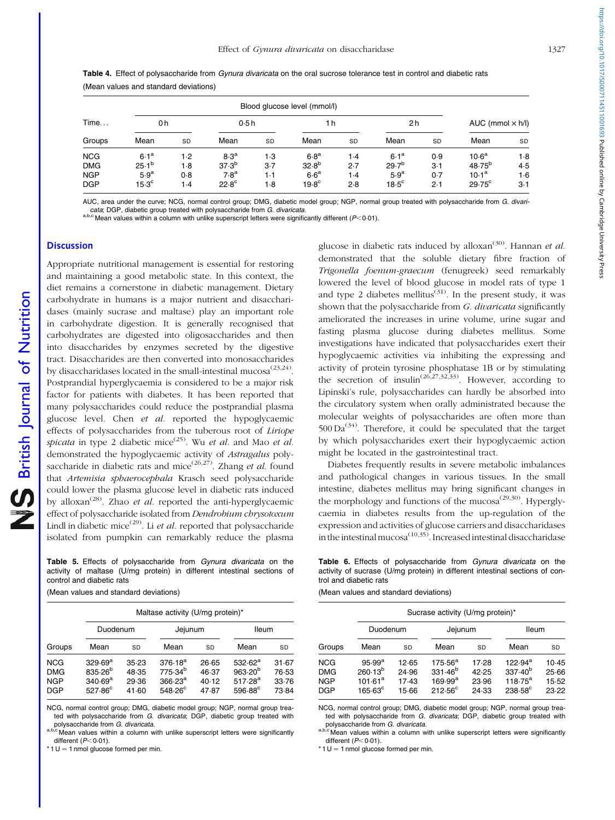<span id="page-4-0"></span>Table 4. Effect of polysaccharide from *Gynura divaricata* on the oral sucrose tolerance test in control and diabetic rats (Mean values and standard deviations)

|                                                      | Blood glucose level (mmol/l)                                       |                            |                                                                             |                              |                                                                             |                            |                                                                           |                            |                                                                 |                            |  |
|------------------------------------------------------|--------------------------------------------------------------------|----------------------------|-----------------------------------------------------------------------------|------------------------------|-----------------------------------------------------------------------------|----------------------------|---------------------------------------------------------------------------|----------------------------|-----------------------------------------------------------------|----------------------------|--|
| Time                                                 |                                                                    | 0 h                        |                                                                             | 0.5h                         |                                                                             | 1 h                        |                                                                           | 2 <sub>h</sub>             |                                                                 | AUC (mmol $\times$ h/l)    |  |
| Groups                                               | Mean                                                               | SD                         | Mean                                                                        | <b>SD</b>                    | Mean                                                                        | SD                         | Mean                                                                      | <b>SD</b>                  | Mean                                                            | SD                         |  |
| <b>NCG</b><br><b>DMG</b><br><b>NGP</b><br><b>DGP</b> | 6.1 <sup>a</sup><br>$25.1^{b}$<br>5.9 <sup>a</sup><br>$15.3^\circ$ | 1.2<br>1.8<br>0.8<br>$1-4$ | 8.3 <sup>a</sup><br>37.3 <sup>b</sup><br>7.8 <sup>a</sup><br>$22.8^{\circ}$ | 1.3<br>$3-7$<br>1.1<br>$1-8$ | 6.8 <sup>a</sup><br>32.8 <sup>b</sup><br>6.6 <sup>a</sup><br>$19.8^{\circ}$ | 1.4<br>2.7<br>$1-4$<br>2.8 | 6.1 <sup>a</sup><br>29.7 <sup>b</sup><br>5.9 <sup>a</sup><br>$18.5^\circ$ | 0.9<br>$3-1$<br>0.7<br>2.1 | $10.6^a$<br>$48.75^{b}$<br>10.1 <sup>a</sup><br>$29.75^{\circ}$ | $1-8$<br>4.5<br>1.6<br>3.1 |  |

AUC, area under the curve; NCG, normal control group; DMG, diabetic model group; NGP, normal group treated with polysaccharide from G. divari-<br>cata; DGP, diabetic group treated with polysaccharide from G. divaricata.

a,b,c Mean values within a column with unlike superscript letters were significantly different ( $P<0.01$ ).

## **Discussion**

Appropriate nutritional management is essential for restoring and maintaining a good metabolic state. In this context, the diet remains a cornerstone in diabetic management. Dietary carbohydrate in humans is a major nutrient and disaccharidases (mainly sucrase and maltase) play an important role in carbohydrate digestion. It is generally recognised that carbohydrates are digested into oligosaccharides and then into disaccharides by enzymes secreted by the digestive tract. Disaccharides are then converted into monosaccharides by disaccharidases located in the small-intestinal mucosa<sup>(23,24)</sup>. Postprandial hyperglycaemia is considered to be a major risk factor for patients with diabetes. It has been reported that many polysaccharides could reduce the postprandial plasma glucose level. Chen et al. reported the hypoglycaemic effects of polysaccharides from the tuberous root of Liriope spicata in type 2 diabetic mice<sup>(25)</sup>. Wu et al. and Mao et al. demonstrated the hypoglycaemic activity of Astragalus polysaccharide in diabetic rats and mice<sup>(26,27)</sup>. Zhang et al. found that Artemisia sphaerocephala Krasch seed polysaccharide could lower the plasma glucose level in diabetic rats induced by alloxan<sup>(28)</sup>. Zhao *et al.* reported the anti-hyperglycaemic effect of polysaccharide isolated from Dendrobium chrysotoxum Lindl in diabetic mice<sup>(29)</sup>. Li et al. reported that polysaccharide isolated from pumpkin can remarkably reduce the plasma

Table 5. Effects of polysaccharide from Gynura divaricata on the activity of maltase (U/mg protein) in different intestinal sections of control and diabetic rats

(Mean values and standard deviations)

|                                                      |                                                                                 | Maltase activity (U/mg protein)* |                                                                                |                                  |                                                              |                                  |  |  |  |
|------------------------------------------------------|---------------------------------------------------------------------------------|----------------------------------|--------------------------------------------------------------------------------|----------------------------------|--------------------------------------------------------------|----------------------------------|--|--|--|
|                                                      | Duodenum                                                                        |                                  | Jejunum                                                                        |                                  | <b>Ileum</b>                                                 |                                  |  |  |  |
| Groups                                               | Mean                                                                            | SD                               | Mean                                                                           | SD                               | Mean                                                         | SD                               |  |  |  |
| <b>NCG</b><br><b>DMG</b><br><b>NGP</b><br><b>DGP</b> | $329.69^{\circ}$<br>835.26 <sup>b</sup><br>$340.69^{\rm a}$<br>$527.86^{\circ}$ | 35.23<br>48.35<br>29.36<br>41.60 | $376.18^{a}$<br>775.34 <sup>b</sup><br>366.23 <sup>a</sup><br>$548.26^{\circ}$ | 26.65<br>46.37<br>40.12<br>47.87 | $532.62^a$<br>$963.20^{b}$<br>$517.28^{a}$<br>$596.88^\circ$ | 31.67<br>76-53<br>33.76<br>73.84 |  |  |  |

NCG, normal control group; DMG, diabetic model group; NGP, normal group treated with polysaccharide from G. divaricata; DGP, diabetic group treated with polysaccharide from G. divaricata.<br>a,b,c Mean values within a column with unlike superscript letters were significantly

different  $(P<0.01)$ .

 $*1 U = 1$  nmol glucose formed per min.

glucose in diabetic rats induced by alloxan<sup>(30)</sup>. Hannan et al. demonstrated that the soluble dietary fibre fraction of Trigonella foenum-graecum (fenugreek) seed remarkably lowered the level of blood glucose in model rats of type 1 and type 2 diabetes mellitus<sup>(31)</sup>. In the present study, it was shown that the polysaccharide from G. divaricata significantly ameliorated the increases in urine volume, urine sugar and fasting plasma glucose during diabetes mellitus. Some investigations have indicated that polysaccharides exert their hypoglycaemic activities via inhibiting the expressing and activity of protein tyrosine phosphatase 1B or by stimulating the secretion of insulin<sup> $(26,27,32,33)$ </sup>. However, according to Lipinski's rule, polysaccharides can hardly be absorbed into the circulatory system when orally administrated because the molecular weights of polysaccharides are often more than  $500\,\mathrm{Da}^{(34)}$ . Therefore, it could be speculated that the target by which polysaccharides exert their hypoglycaemic action might be located in the gastrointestinal tract.

Diabetes frequently results in severe metabolic imbalances and pathological changes in various tissues. In the small intestine, diabetes mellitus may bring significant changes in the morphology and functions of the mucosa<sup>(29,30)</sup>. Hyperglycaemia in diabetes results from the up-regulation of the expression and activities of glucose carriers and disaccharidases in the intestinal mucosa $^{(10,35)}$ . Increased intestinal disaccharidase

Table 6. Effects of polysaccharide from Gynura divaricata on the activity of sucrase (U/mg protein) in different intestinal sections of control and diabetic rats

(Mean values and standard deviations)

|                                                      |                                                                    | Sucrase activity (U/mg protein)* |                                                                                |                                  |                                                                    |                                  |  |  |  |
|------------------------------------------------------|--------------------------------------------------------------------|----------------------------------|--------------------------------------------------------------------------------|----------------------------------|--------------------------------------------------------------------|----------------------------------|--|--|--|
|                                                      |                                                                    | Duodenum                         |                                                                                | Jejunum                          |                                                                    | lleum                            |  |  |  |
| Groups                                               | Mean                                                               | SD                               | Mean                                                                           | SD                               | Mean                                                               | SD                               |  |  |  |
| <b>NCG</b><br><b>DMG</b><br><b>NGP</b><br><b>DGP</b> | 95.99 <sup>a</sup><br>$260.13^{b}$<br>$101.61^a$<br>$165.63^\circ$ | 12.65<br>24.96<br>17.43<br>15.66 | $175.56^{\text{a}}$<br>$331.46^{b}$<br>169.99 <sup>a</sup><br>$212.56^{\circ}$ | 17.28<br>42.25<br>23.96<br>24.33 | $122.94^a$<br>$337.40^{b}$<br>$118.75^{\rm a}$<br>$238.58^{\circ}$ | 10.45<br>25.66<br>15.52<br>23.22 |  |  |  |

NCG, normal control group; DMG, diabetic model group; NGP, normal group treated with polysaccharide from G. divaricata; DGP, diabetic group treated with

polysaccharide from G. divaricata.<br>a,b,c Mean values within a column with unlike superscript letters were significantly different  $(P<0.01)$ .

 $*1 U = 1$  nmol glucose formed per min.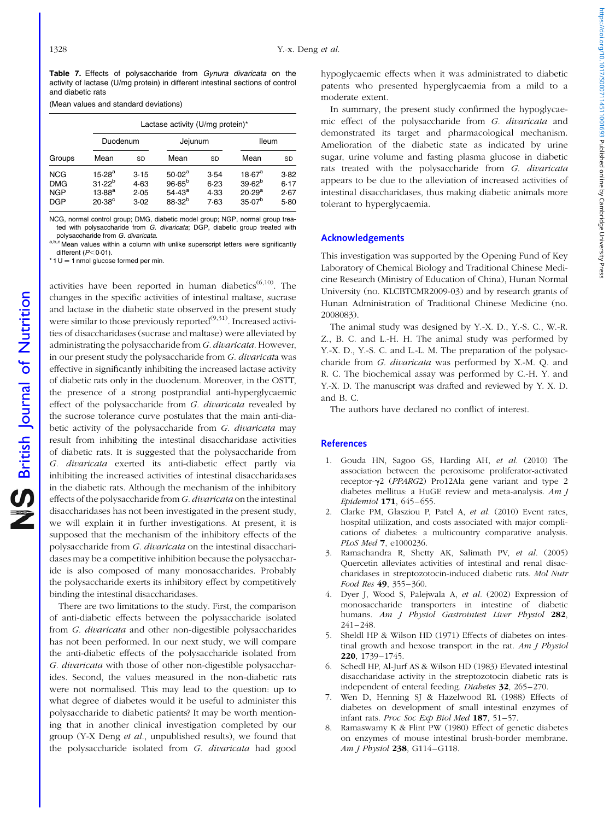Table 7. Effects of polysaccharide from Gynura divaricata on the activity of lactase (U/mg protein) in different intestinal sections of control and diabetic rats

(Mean values and standard deviations)

|                                                      |                                                                 | Lactase activity (U/mg protein)* |                                                                        |                              |                                                                            |                              |  |  |  |
|------------------------------------------------------|-----------------------------------------------------------------|----------------------------------|------------------------------------------------------------------------|------------------------------|----------------------------------------------------------------------------|------------------------------|--|--|--|
|                                                      | Duodenum                                                        |                                  | Jejunum                                                                |                              | <b>Ileum</b>                                                               |                              |  |  |  |
| Groups                                               | Mean                                                            | SD                               | Mean                                                                   | SD                           | Mean                                                                       | SD                           |  |  |  |
| <b>NCG</b><br><b>DMG</b><br><b>NGP</b><br><b>DGP</b> | $15.28^{a}$<br>$31.22^{b}$<br>$13.88^{a}$<br>20.38 <sup>c</sup> | 3.15<br>4.63<br>2.05<br>3.02     | 50.02 <sup>a</sup><br>$96.65^{b}$<br>54.43 <sup>a</sup><br>$88.32^{b}$ | 3.54<br>6.23<br>4.33<br>7.63 | $18.67^{\rm a}$<br>$39.62^{b}$<br>20.29 <sup>a</sup><br>35.07 <sup>b</sup> | 3.82<br>6.17<br>2.67<br>5.80 |  |  |  |

NCG, normal control group; DMG, diabetic model group; NGP, normal group treated with polysaccharide from G. divaricata; DGP, diabetic group treated with polysaccharide from G. divaricata

polysaccharide from G. divaricata. a,b,c Mean values within a column with unlike superscript letters were significantly different  $(P< 0.01)$ .

 $*1 U = 1$  nmol glucose formed per min.

activities have been reported in human diabetics<sup> $(6,10)$ </sup>. The changes in the specific activities of intestinal maltase, sucrase and lactase in the diabetic state observed in the present study were similar to those previously reported $(9,31)$ . Increased activities of disaccharidases (sucrase and maltase) were alleviated by administrating the polysaccharide from G. divaricata. However, in our present study the polysaccharide from G. divaricata was effective in significantly inhibiting the increased lactase activity of diabetic rats only in the duodenum. Moreover, in the OSTT, the presence of a strong postprandial anti-hyperglycaemic effect of the polysaccharide from G. divaricata revealed by the sucrose tolerance curve postulates that the main anti-diabetic activity of the polysaccharide from G. divaricata may result from inhibiting the intestinal disaccharidase activities of diabetic rats. It is suggested that the polysaccharide from G. divaricata exerted its anti-diabetic effect partly via inhibiting the increased activities of intestinal disaccharidases in the diabetic rats. Although the mechanism of the inhibitory effects of the polysaccharide from G. divaricata on the intestinal disaccharidases has not been investigated in the present study, we will explain it in further investigations. At present, it is supposed that the mechanism of the inhibitory effects of the polysaccharide from G. divaricata on the intestinal disaccharidases may be a competitive inhibition because the polysaccharide is also composed of many monosaccharides. Probably the polysaccharide exerts its inhibitory effect by competitively binding the intestinal disaccharidases.

There are two limitations to the study. First, the comparison of anti-diabetic effects between the polysaccharide isolated from G. divaricata and other non-digestible polysaccharides has not been performed. In our next study, we will compare the anti-diabetic effects of the polysaccharide isolated from G. divaricata with those of other non-digestible polysaccharides. Second, the values measured in the non-diabetic rats were not normalised. This may lead to the question: up to what degree of diabetes would it be useful to administer this polysaccharide to diabetic patients? It may be worth mentioning that in another clinical investigation completed by our group (Y-X Deng et al., unpublished results), we found that the polysaccharide isolated from G. divaricata had good hypoglycaemic effects when it was administrated to diabetic patents who presented hyperglycaemia from a mild to a moderate extent.

In summary, the present study confirmed the hypoglycaemic effect of the polysaccharide from G. divaricata and demonstrated its target and pharmacological mechanism. Amelioration of the diabetic state as indicated by urine sugar, urine volume and fasting plasma glucose in diabetic rats treated with the polysaccharide from G. divaricata appears to be due to the alleviation of increased activities of intestinal disaccharidases, thus making diabetic animals more tolerant to hyperglycaemia.

## Acknowledgements

This investigation was supported by the Opening Fund of Key Laboratory of Chemical Biology and Traditional Chinese Medicine Research (Ministry of Education of China), Hunan Normal University (no. KLCBTCMR2009-03) and by research grants of Hunan Administration of Traditional Chinese Medicine (no. 2008083).

The animal study was designed by Y.-X. D., Y.-S. C., W.-R. Z., B. C. and L.-H. H. The animal study was performed by Y.-X. D., Y.-S. C. and L.-L. M. The preparation of the polysaccharide from G. divaricata was performed by X.-M. Q. and R. C. The biochemical assay was performed by C.-H. Y. and Y.-X. D. The manuscript was drafted and reviewed by Y. X. D. and B. C.

The authors have declared no conflict of interest.

### **References**

- 1. Gouda HN, Sagoo GS, Harding AH, et al. (2010) The association between the peroxisome proliferator-activated receptor-g2 (PPARG2) Pro12Ala gene variant and type 2 diabetes mellitus: a HuGE review and meta-analysis. Am J Epidemiol 171, 645–655.
- 2. Clarke PM, Glasziou P, Patel A, et al. (2010) Event rates, hospital utilization, and costs associated with major complications of diabetes: a multicountry comparative analysis. PLoS Med 7, e1000236.
- 3. Ramachandra R, Shetty AK, Salimath PV, et al. (2005) Quercetin alleviates activities of intestinal and renal disaccharidases in streptozotocin-induced diabetic rats. Mol Nutr Food Res 49, 355–360.
- 4. Dyer J, Wood S, Palejwala A, et al. (2002) Expression of monosaccharide transporters in intestine of diabetic humans. Am J Physiol Gastrointest Liver Physiol 282, 241–248.
- 5. Sheldl HP & Wilson HD (1971) Effects of diabetes on intestinal growth and hexose transport in the rat. Am J Physiol 220, 1739–1745.
- 6. Schedl HP, Al-Jurf AS & Wilson HD (1983) Elevated intestinal disaccharidase activity in the streptozotocin diabetic rats is independent of enteral feeding. Diabetes 32, 265–270.
- 7. Wen D, Henning SJ & Hazelwood RL (1988) Effects of diabetes on development of small intestinal enzymes of infant rats. Proc Soc Exp Biol Med 187, 51–57.
- 8. Ramaswamy K & Flint PW (1980) Effect of genetic diabetes on enzymes of mouse intestinal brush-border membrane. Am J Physiol 238, G114–G118.